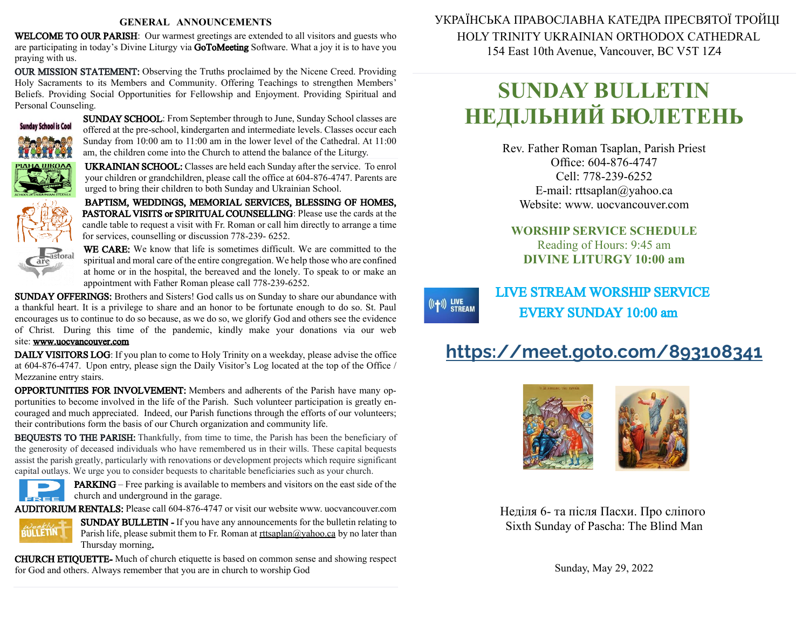#### **GENERAL ANNOUNCEMENTS**

WELCOME TO OUR PARISH: Our warmest greetings are extended to all visitors and guests who are participating in today's Divine Liturgy via GoToMeeting Software. What a joy it is to have you praying with us.

OUR MISSION STATEMENT: Observing the Truths proclaimed by the Nicene Creed. Providing Holy Sacraments to its Members and Community. Offering Teachings to strengthen Members' Beliefs. Providing Social Opportunities for Fellowship and Enjoyment. Providing Spiritual and Personal Counseling.



SUNDAY SCHOOL: From September through to June, Sunday School classes are offered at the pre-school, kindergarten and intermediate levels. Classes occur each Sunday from 10:00 am to 11:00 am in the lower level of the Cathedral. At 11:00 am, the children come into the Church to attend the balance of the Liturgy.

UKRAINIAN SCHOOL: Classes are held each Sunday after the service. To enrol your children or grandchildren, please call the office at 604-876-4747. Parents are urged to bring their children to both Sunday and Ukrainian School.

BAPTISM, WEDDINGS, MEMORIAL SERVICES, BLESSING OF HOMES, PASTORAL VISITS or SPIRITUAL COUNSELLING: Please use the cards at the candle table to request a visit with Fr. Roman or call him directly to arrange a time for services, counselling or discussion 778-239- 6252.



WE CARE: We know that life is sometimes difficult. We are committed to the spiritual and moral care of the entire congregation. We help those who are confined at home or in the hospital, the bereaved and the lonely. To speak to or make an appointment with Father Roman please call 778-239-6252.

SUNDAY OFFERINGS: Brothers and Sisters! God calls us on Sunday to share our abundance with a thankful heart. It is a privilege to share and an honor to be fortunate enough to do so. St. Paul encourages us to continue to do sobecause, as we do so, we glorify God and others see the evidence of Christ. During this time of the pandemic, kindly make your donations via our web site: [www.uocvancouver.com](http://www.uocvancouver.com/) 

DAILY VISITORS LOG: If you plan to come to Holy Trinity on a weekday, please advise the office at 604-876-4747. Upon entry, please sign the Daily Visitor's Log located at the top of the Office / Mezzanine entry stairs.

OPPORTUNITIES FOR INVOLVEMENT: Members and adherents of the Parish have many opportunities to become involved in the life of the Parish. Such volunteer participation is greatly encouraged and much appreciated. Indeed, our Parish functions through the efforts of our volunteers; their contributions form the basis of our Church organization and community life.

BEQUESTS TO THE PARISH: Thankfully, from time to time, the Parish has been the beneficiary of the generosity of deceased individuals who have remembered us in their wills. These capital bequests assist the parish greatly, particularly with renovations or development projects which require significant capital outlays. We urge you to consider bequests to charitable beneficiaries such as your church.



PARKING –Free parking is available to members and visitors on the east side of the  $\epsilon$  church and underground in the garage.

AUDITORIUM RENTALS: Please call 604-876-4747 or visit our website www. uocvancouver.com



SUNDAY BULLETIN - If you have any announcements for the bulletin relating to Parish life, please submit them to Fr. Roman at  $rtt \frac{\partial y}{\partial x}$  and  $\frac{\partial y}{\partial y}$  and later than Thursday morning.

CHURCH ETIQUETTE- Much of church etiquette is based on common sense and showing respect for God and others. Always remember that you are in church to worship God

 УКРАЇНСЬКА ПРАВОСЛАВНА КАТЕДРА ПРЕСВЯТОЇ ТРОЙЦІ HOLY TRINITY UKRAINIAN ORTHODOX CATHEDRAL 154 East 10th Avenue, Vancouver, BC V5T 1Z4

# **SUNDAY BULLETIN НЕДІЛЬНИЙ БЮЛЕТЕНЬ**

Rev. Father Roman Tsaplan, Parish Priest Office: 604-876-4747 Cell: 778-239-6252 E-mail: rttsaplan@yahoo.ca Website: www. uocvancouver.com

### **WORSHIP SERVICE SCHEDULE** Reading of Hours: 9:45 am **DIVINE LITURGY 10:00 am**

## LIVE STREAM WORSHIP SERVICE EVERY SUNDAY 10:00 am

 $((+)$  LIVE<br>STREAM

## **<https://meet.goto.com/893108341>**



 Неділя 6- та після Пасхи. Про сліпого Sixth Sunday of Pascha: The Blind Man

Sunday, May 29, 2022